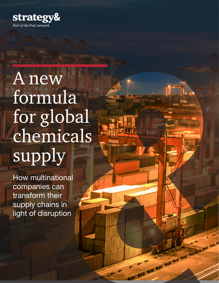

# A new formula for global chemicals supply

How multinational companies can transform their supply chains in light of disruption

Marian Marian Communication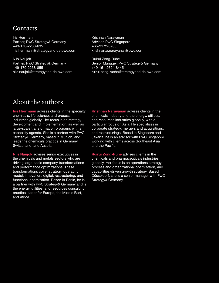## **Contacts**

Iris Herrmann Partner, PwC Strategy& Germany +49-170-2238-695 [iris.herrmann@strategyand.de.pwc.com](mailto:iris.herrmann@strategyand.de.pwc.com)

Nils Naujok Partner, PwC Strategy& Germany +49-170-2238-855 [nils.naujok@strategyand.de.pwc.com](mailto:nils.naujok@strategyand.de.pwc.com) Krishnan Narayanan Advisor, PwC Singapore +65-9172-6705 [krishnan.a.narayanan@pwc.com](mailto:krishnan.a.narayanan@pwc.com)

Ruirui Zong-Rühe Senior Manager, PwC Strategy& Germany +49-151-2624-8445 [ruirui.zong-ruehe@strategyand.de.pwc.com](mailto:ruirui.zong-ruehe@strategyand.de.pwc.com)

# About the authors

**Iris Herrmann** advises clients in the specialty chemicals, life science, and process industries globally. Her focus is on strategy development and implementation, as well as large-scale transformation programs with a capability agenda. She is a partner with PwC Strategy& Germany, based in Munich, and leads the chemicals practice in Germany, Switzerland, and Austria.

Nils Naujok advises senior executives in the chemicals and metals sectors who are driving large-scale company transformations and performance optimizations. These transformations cover strategy, operating model, innovation, digital, restructuring, and functional optimization. Based in Berlin, he is a partner with PwC Strategy& Germany and is the energy, utilities, and resources consulting practice leader for Europe, the Middle East, and Africa.

Krishnan Narayanan advises clients in the chemicals industry and the energy, utilities, and resources industries globally, with a particular focus on Asia. He specializes in corporate strategy, mergers and acquisitions, and restructurings. Based in Singapore and Jakarta, he is an advisor with PwC Singapore working with clients across Southeast Asia and the Pacific.

Ruirui Zong-Rühe advises clients in the chemicals and pharmaceuticals industries globally. Her focus is on operations strategy, process and organizational optimization, and capabilities-driven growth strategy. Based in Düsseldorf, she is a senior manager with PwC Strategy& Germany.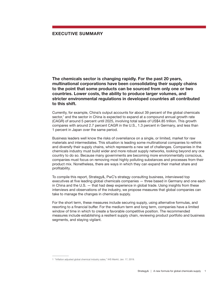### EXECUTIVE SUMMARY

The chemicals sector is changing rapidly. For the past 20 years, multinational corporations have been consolidating their supply chains to the point that some products can be sourced from only one or two countries. Lower costs, the ability to produce larger volumes, and stricter environmental regulations in developed countries all contributed to this shift.

Currently, for example, China's output accounts for about 39 percent of the global chemicals sector,<sup>1</sup> and the sector in China is expected to expand at a compound annual growth rate (CAGR) of around 5 percent until 2025, involving total sales of US\$4.85 trillion. This growth compares with around 2.7 percent CAGR in the U.S., 1.3 percent in Germany, and less than 1 percent in Japan over the same period.

Business leaders well know the risks of overreliance on a single, or limited, market for raw materials and intermediates. This situation is leading some multinational companies to rethink and diversify their supply chains, which represents a new set of challenges. Companies in the chemicals industry must build wider and more robust supply networks, looking beyond any one country to do so. Because many governments are becoming more environmentally conscious, companies must focus on removing most highly polluting substances and processes from their product mix. Nonetheless, there are ways in which they can expand their market share and profitability.

To compile this report, Strategy&, PwC's strategy consulting business, interviewed top executives at five leading global chemicals companies — three based in Germany and one each in China and the U.S. — that had deep experience in global trade. Using insights from these interviews and observations of the industry, we propose measures that global companies can take to manage the changes in chemicals supply.

For the short term, these measures include securing supply, using alternative formulas, and resorting to a financial buffer. For the medium term and long term, companies have a limited window of time in which to create a favorable competitive position. The recommended measures include establishing a resilient supply chain, reviewing product portfolio and business segments, and staying vigilant.

<sup>1</sup> "[Inflation adjusted global chemical industry sales,"](https://connect.ihs.com/insight/comparative-industry/overview?Isic=Rev4) IHS Markit, Jan. 17, 2019.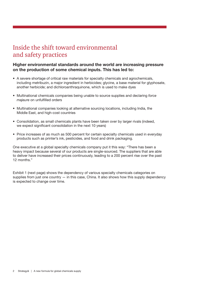## Inside the shift toward environmental and safety practices

### Higher environmental standards around the world are increasing pressure on the production of some chemical inputs. This has led to:

- A severe shortage of critical raw materials for specialty chemicals and agrochemicals, including metribuzin, a major ingredient in herbicides; glycine, a base material for glyphosate, another herbicide; and dichloroanthraquinone, which is used to make dyes
- Multinational chemicals companies being unable to source supplies and declaring *force majeure* on unfulfilled orders
- Multinational companies looking at alternative sourcing locations, including India, the Middle East, and high-cost countries
- Consolidation, as small chemicals plants have been taken over by larger rivals (indeed, we expect significant consolidation in the next 10 years)
- Price increases of as much as 500 percent for certain specialty chemicals used in everyday products such as printer's ink, pesticides, and food and drink packaging.

One executive at a global specialty chemicals company put it this way: "There has been a heavy impact because several of our products are single-sourced. The suppliers that are able to deliver have increased their prices continuously, leading to a 200 percent rise over the past 12 months."

Exhibit 1 (next page) shows the dependency of various specialty chemicals categories on supplies from just one country  $-$  in this case, China. It also shows how this supply dependency is expected to change over time.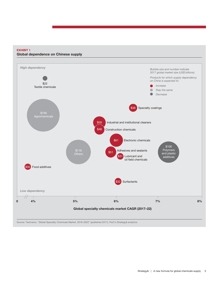#### EXHIBIT 1 Global dependence on Chinese supply



Source: Technavio, "Global Specialty Chemicals Market, 2018–2022" (published 2017), PwC's Strategy& analytics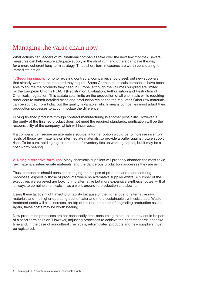# Managing the value chain now

What actions can leaders of multinational companies take over the next few months? Several measures can help ensure adequate supply in the short run, and others can pave the way for a more coherent long-term strategy. Three short-term measures are worth considering for immediate action.

1. Securing supply. To honor existing contracts, companies should seek out new suppliers that already work to the standard they require. Some German chemicals companies have been able to source the products they need in Europe, although the volumes supplied are limited by the European Union's REACH (Registration, Evaluation, Authorisation and Restriction of Chemicals) regulation. This statute sets limits on the production of all chemicals while requiring producers to submit detailed plans and production recipes to the regulator. Other raw materials can be sourced from India, but the quality is variable, which means companies must adapt their production processes to accommodate the difference.

Buying finished products through contract manufacturing is another possibility. However, if the purity of the finished product does not meet the required standards, purification will be the responsibility of the company, which will incur cost.

If a company can secure an alternative source, a further option would be to increase inventory levels of those raw materials or intermediate materials, to provide a buffer against future supply risks. To be sure, holding higher amounts of inventory ties up working capital, but it may be a cost worth bearing.

2. Using alternative formulas. Many chemicals suppliers will probably abandon the most toxic raw materials, intermediate materials, and the dangerous production processes they are using.

Thus, companies should consider changing the recipes of products and manufacturing processes, especially those of products where no alternative supplier exists. A number of the executives we surveyed are looking into alternative but more expensive synthesis routes — that is, ways to combine chemicals — as a work-around to production shutdowns.

Using these tactics might affect profitability because of the higher cost of alternative raw materials and the higher operating cost of safer and more sustainable synthesis steps. Waste treatment costs will also increase, on top of the one-time cost of upgrading production assets. Again, these costs may be worth bearing.

New production processes are not necessarily time-consuming to set up, so they could be part of a short-term solution. However, adjusting processes to achieve the right standards can take time and, in the case of agricultural chemicals, reformulated products and new suppliers must be registered.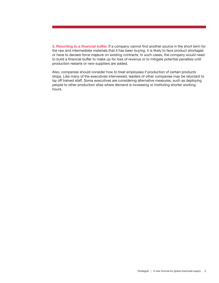3. Resorting to a financial buffer. If a company cannot find another source in the short term for the raw and intermediate materials that it has been buying, it is likely to face product shortages or have to declare *force majeure* on existing contracts. In such cases, the company would need to build a financial buffer to make up for loss of revenue or to mitigate potential penalties until production restarts or new suppliers are added.

Also, companies should consider how to treat employees if production of certain products stops. Like many of the executives interviewed, leaders of other companies may be reluctant to lay off trained staff. Some executives are considering alternative measures, such as deploying people to other production sites where demand is increasing or instituting shorter working hours.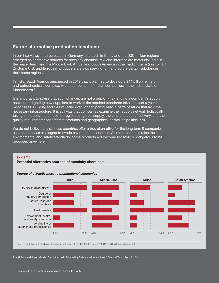## Future alternative production locations

In our interviews — three based in Germany, one each in China and the U.S. — four regions emerged as alternative sources for specialty chemical raw and intermediate materials: India in the nearer term, and the Middle East, Africa, and South America in the medium term (see Exhibit 2). Some U.S. and European producers are also seeking to manufacture certain substances in their home regions.

In India, Saudi Aramco announced in 2018 that it planned to develop a \$44 billion refinery and petrochemicals complex, with a consortium of Indian companies, in the Indian state of Maharashtra<sup>2</sup>

It is important to stress that such changes are not a quick fix. Extending a company's supply network and getting new suppliers to work at the required standards takes at least a year in most cases. Building facilities will take even longer, particularly in parts of Africa that lack the necessary infrastructure. It is still vital that companies examine their supply network holistically, taking into account the need for regional or global supply, the time and cost of delivery, and the quality requirements for different products and geographies, as well as political risk.

We do not believe any of these countries offer a true alternative for the long term if companies use them only as a stopgap to evade environmental controls. As more countries raise their environmental and safety standards, some products will become too toxic or dangerous to be produced anywhere.

#### EXHIBIT 2 Potential alternative sources of specialty chemicals



#### *Degree of attractiveness to multinational companies*

Source: "Inflation adjusted global chemical industry sales," IHS Markit, Jan. 17, 2019; PwC's Strategy& research

2 Anjli Raval and Simon Mundy, ["Saudi Aramco in Talks to Buy Reliance Industries Stake](https://www.ft.com/content/a31bb1d6-60f4-11e9-b285-3acd5d43599e)," *Financial Times*, Apr. 17, 2019.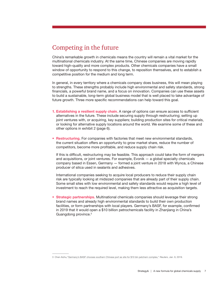# Competing in the future

China's remarkable growth in chemicals means the country will remain a vital market for the multinational chemicals industry. At the same time, Chinese companies are moving rapidly toward high-quality and more complex products. Other chemicals companies have a small window of opportunity to respond to this change, to reposition themselves, and to establish a competitive position for the medium and long term.

In general, in every territory where a chemicals company does business, this will mean playing to strengths. These strengths probably include high environmental and safety standards, strong financials, a powerful brand name, and a focus on innovation. Companies can use these assets to build a sustainable, long-term global business model that is well placed to take advantage of future growth. Three more specific recommendations can help toward this goal.

- 1. Establishing a resilient supply chain. A range of options can ensure access to sufficient alternatives in the future. These include securing supply through restructuring; setting up joint ventures with, or acquiring, key suppliers; building production sites for critical materials, or looking for alternative supply locations around the world. We examine some of these and other options in exhibit 2 (page 6).
- Restructuring. For companies with factories that meet new environmental standards, the current situation offers an opportunity to grow market share, reduce the number of competitors, become more profitable, and reduce supply chain risk.

If this is difficult, restructuring may be feasible. This approach could take the form of mergers and acquisitions, or joint ventures. For example, Evonik — a global specialty chemicals company based in Essen, Germany — formed a joint venture in 2018 with Wynca, a Chinese producer of silica used in sealants and adhesives.

International companies seeking to acquire local producers to reduce their supply chain risk are typically looking at midsized companies that are already part of their supply chain. Some small sites with low environmental and safety standards would require a high level of investment to reach the required level, making them less attractive as acquisition targets.

**Strategic partnerships.** Multinational chemicals companies should leverage their strong brand names and already high environmental standards to build their own production facilities, or form partnerships with local players. Germany's BASF, for example, confirmed in 2019 that it would open a \$10 billion petrochemicals facility in Zhanjiang in China's Guangdong province.3

<sup>3</sup> Chen Aizhu,"[Germany's BASF chooses southern Chinese port as site for \\$10 bln petchem complex,](https://www.reuters.com/article/us-china-basf-petrochemical-guangdong/germanys-basf-chooses-southern-chinese-port-as-site-for-10-bln-petchem-complex-idUSKCN1P408N)" *Reuters*, Jan. 9, 2019.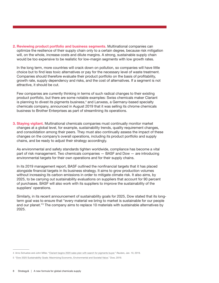2. Reviewing product portfolio and business segments. Multinational companies can optimize the resilience of their supply chain only to a certain degree, because risk mitigation will, on the whole, increase costs and dilute margins. A strong, sustainable supply chain would be too expensive to be realistic for low-margin segments with low growth rates.

In the long term, more countries will crack down on pollution, so companies will have little choice but to find less toxic alternatives or pay for the necessary level of waste treatment. Companies should therefore evaluate their product portfolio on the basis of profitability, growth rate, supply dependency and risks, and the cost of alternatives. If a segment is not attractive, it should be cut.

Few companies are currently thinking in terms of such radical changes to their existing product portfolio, but there are some notable examples: Swiss chemicals maker Clariant is planning to divest its pigments business,<sup>4</sup> and Lanxess, a Germany-based specialty chemicals company, announced in August 2019 that it was selling its chrome chemicals business to Brother Enterprises as part of streamlining its operations.

3. Staying vigilant. Multinational chemicals companies must continually monitor market changes at a global level, for example, sustainability trends, quality requirement changes, and consolidation among their peers. They must also continually assess the impact of these changes on the company's overall operations, including its product portfolio and supply chains, and be ready to adjust their strategy accordingly.

As environmental and safety standards tighten worldwide, compliance has become a vital part of risk management. Two chemicals companies — BASF and Dow — are introducing environmental targets for their own operations and for their supply chains.

In its 2019 management report, BASF outlined the nonfinancial targets that it has placed alongside financial targets in its business strategy. It aims to grow production volumes without increasing its carbon emissions in order to mitigate climate risk. It also aims, by 2025, to be carrying out sustainability evaluations on suppliers that account for 90 percent of purchases. BASF will also work with its suppliers to improve the sustainability of the suppliers' operations.

Similarly, in its recent announcement of sustainability goals for 2025, Dow stated that its longterm goal was to ensure that "every material we bring to market is sustainable for our people and our planet."<sup>5</sup> The company aims to replace 10 materials with sustainable alternatives by 2025.

<sup>4</sup> Arno Schuetze and John Miller, "[Clariant begins 2020 sales plan with search for pigments buyer,](https://uk.reuters.com/article/uk-clariant-divestiture/clariant-begins-2020-sale-plan-with-search-for-pigments-buyer-idUKKCN1P4125)" *Reuters,* Jan. 10, 2019.

<sup>5</sup> "[Dow 2025 Sustainability Goals: Maximizing Economic, Environmental and Societal Value,](https://corporate.dow.com/en-us/science-and-sustainability/2025-goals/safe-chemistry)" Dow, 2019.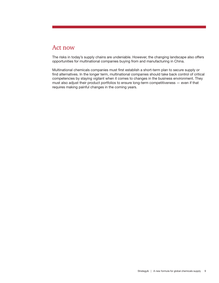## Act now

The risks in today's supply chains are undeniable. However, the changing landscape also offers opportunities for multinational companies buying from and manufacturing in China.

Multinational chemicals companies must first establish a short-term plan to secure supply or find alternatives. In the longer term, multinational companies should take back control of critical competencies by staying vigilant when it comes to changes in the business environment. They must also adjust their product portfolios to ensure long-term competitiveness — even if that requires making painful changes in the coming years.